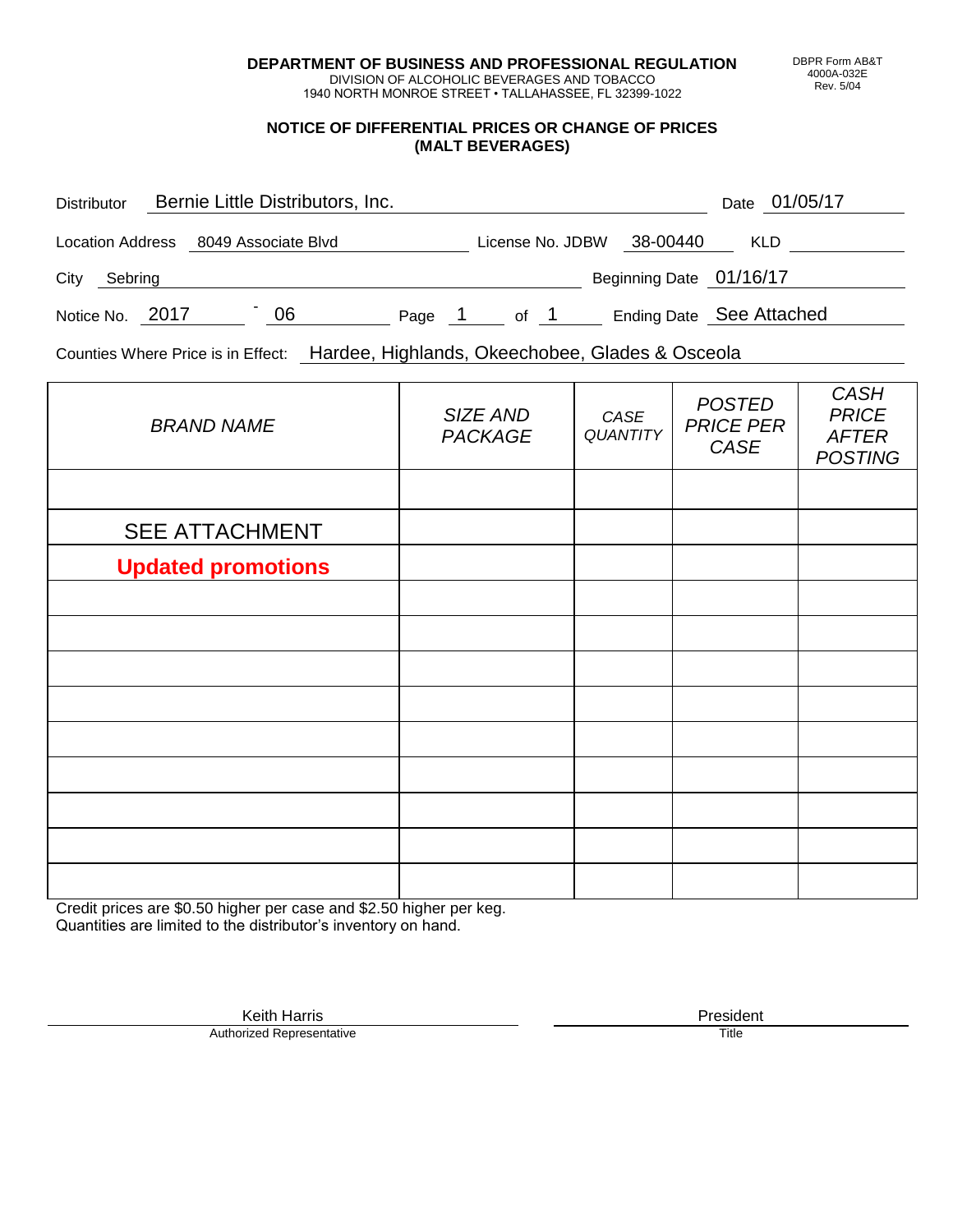**DEPARTMENT OF BUSINESS AND PROFESSIONAL REGULATION** DIVISION OF ALCOHOLIC BEVERAGES AND TOBACCO

1940 NORTH MONROE STREET • TALLAHASSEE, FL 32399-1022

## **NOTICE OF DIFFERENTIAL PRICES OR CHANGE OF PRICES (MALT BEVERAGES)**

| <b>Distributor</b>                   |  | Bernie Little Distributors, Inc. |        |                  |  |                         | 01/05/17<br>Date         |  |
|--------------------------------------|--|----------------------------------|--------|------------------|--|-------------------------|--------------------------|--|
| Location Address 8049 Associate Blvd |  |                                  |        | License No. JDBW |  | 38-00440                | <b>KLD</b>               |  |
| City<br>Sebring                      |  |                                  |        |                  |  | Beginning Date 01/16/17 |                          |  |
| Notice No. 2017                      |  | 06                               | Page 1 | of 1             |  |                         | Ending Date See Attached |  |

Counties Where Price is in Effect: Hardee, Highlands, Okeechobee, Glades & Osceola

| <b>BRAND NAME</b>         | SIZE AND<br><b>PACKAGE</b> | CASE<br>QUANTITY | <b>POSTED</b><br><b>PRICE PER</b><br>CASE | <b>CASH</b><br><b>PRICE</b><br><b>AFTER</b><br><b>POSTING</b> |
|---------------------------|----------------------------|------------------|-------------------------------------------|---------------------------------------------------------------|
|                           |                            |                  |                                           |                                                               |
| <b>SEE ATTACHMENT</b>     |                            |                  |                                           |                                                               |
| <b>Updated promotions</b> |                            |                  |                                           |                                                               |
|                           |                            |                  |                                           |                                                               |
|                           |                            |                  |                                           |                                                               |
|                           |                            |                  |                                           |                                                               |
|                           |                            |                  |                                           |                                                               |
|                           |                            |                  |                                           |                                                               |
|                           |                            |                  |                                           |                                                               |
|                           |                            |                  |                                           |                                                               |
|                           |                            |                  |                                           |                                                               |
|                           |                            |                  |                                           |                                                               |

Credit prices are \$0.50 higher per case and \$2.50 higher per keg. Quantities are limited to the distributor's inventory on hand.

> Keith Harris **President**<br> **President**<br>
> Prized Representative **President Authorized Representative**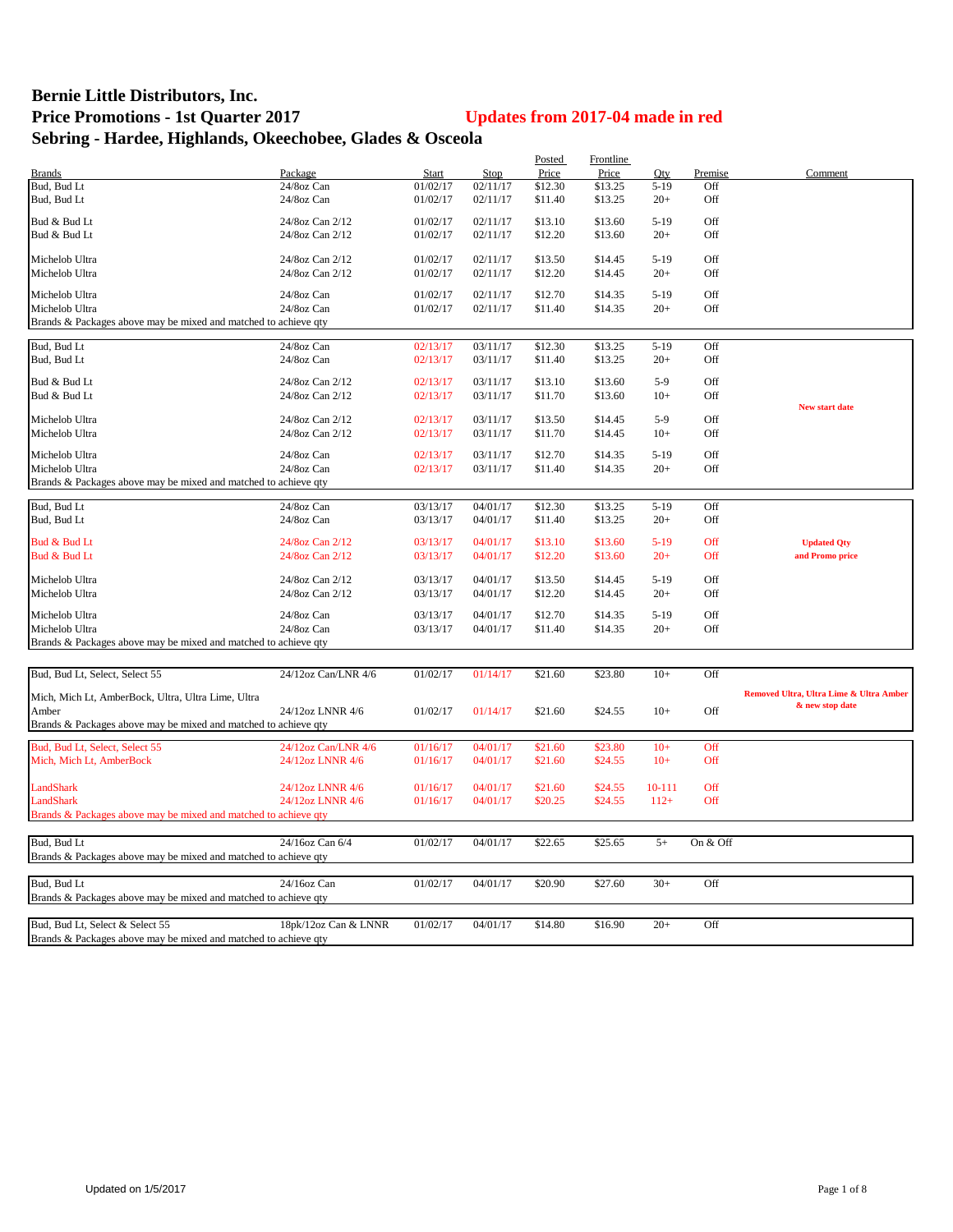## **Bernie Little Distributors, Inc. Price Promotions - 1st Quarter 2017 Updates from 2017-04 made in red Sebring - Hardee, Highlands, Okeechobee, Glades & Osceola**

|                                                                 |                      |          |          | Posted  | Frontline |        |          |                                                            |
|-----------------------------------------------------------------|----------------------|----------|----------|---------|-----------|--------|----------|------------------------------------------------------------|
| <b>Brands</b>                                                   | Package              | Start    | Stop     | Price   | Price     | Qty    | Premise  | Comment                                                    |
| Bud, Bud Lt                                                     | 24/8oz Can           | 01/02/17 | 02/11/17 | \$12.30 | \$13.25   | $5-19$ | Off      |                                                            |
| Bud, Bud Lt                                                     | 24/8oz Can           | 01/02/17 | 02/11/17 | \$11.40 | \$13.25   | $20+$  | Off      |                                                            |
| Bud & Bud Lt                                                    | 24/8oz Can 2/12      | 01/02/17 | 02/11/17 | \$13.10 | \$13.60   | $5-19$ | Off      |                                                            |
| Bud & Bud Lt                                                    | 24/8oz Can 2/12      | 01/02/17 | 02/11/17 | \$12.20 | \$13.60   | $20+$  | Off      |                                                            |
|                                                                 |                      |          |          |         |           |        |          |                                                            |
| Michelob Ultra                                                  | 24/8oz Can 2/12      | 01/02/17 | 02/11/17 | \$13.50 | \$14.45   | $5-19$ | Off      |                                                            |
| Michelob Ultra                                                  | 24/8oz Can 2/12      | 01/02/17 | 02/11/17 | \$12.20 | \$14.45   | $20+$  | Off      |                                                            |
| Michelob Ultra                                                  | 24/8oz Can           | 01/02/17 | 02/11/17 | \$12.70 | \$14.35   | $5-19$ | Off      |                                                            |
| Michelob Ultra                                                  | 24/8oz Can           | 01/02/17 | 02/11/17 | \$11.40 | \$14.35   | $20+$  | Off      |                                                            |
| Brands & Packages above may be mixed and matched to achieve qty |                      |          |          |         |           |        |          |                                                            |
|                                                                 |                      |          |          |         |           |        |          |                                                            |
| Bud, Bud Lt                                                     | 24/8oz Can           | 02/13/17 | 03/11/17 | \$12.30 | \$13.25   | $5-19$ | Off      |                                                            |
| Bud, Bud Lt                                                     | 24/8oz Can           | 02/13/17 | 03/11/17 | \$11.40 | \$13.25   | $20+$  | Off      |                                                            |
| Bud & Bud Lt                                                    | 24/8oz Can 2/12      | 02/13/17 | 03/11/17 | \$13.10 | \$13.60   | $5-9$  | Off      |                                                            |
| Bud & Bud Lt                                                    | 24/8oz Can 2/12      | 02/13/17 | 03/11/17 | \$11.70 | \$13.60   | $10+$  | Off      |                                                            |
|                                                                 |                      |          |          |         |           |        |          | <b>New start date</b>                                      |
| Michelob Ultra                                                  | 24/8oz Can 2/12      | 02/13/17 | 03/11/17 | \$13.50 | \$14.45   | $5-9$  | Off      |                                                            |
| Michelob Ultra                                                  | 24/8oz Can 2/12      | 02/13/17 | 03/11/17 | \$11.70 | \$14.45   | $10+$  | Off      |                                                            |
| Michelob Ultra                                                  | 24/8oz Can           | 02/13/17 | 03/11/17 | \$12.70 | \$14.35   | $5-19$ | Off      |                                                            |
| Michelob Ultra                                                  | 24/8oz Can           | 02/13/17 | 03/11/17 | \$11.40 | \$14.35   | $20+$  | Off      |                                                            |
| Brands & Packages above may be mixed and matched to achieve qty |                      |          |          |         |           |        |          |                                                            |
|                                                                 |                      |          |          |         |           |        |          |                                                            |
| Bud, Bud Lt                                                     | 24/8oz Can           | 03/13/17 | 04/01/17 | \$12.30 | \$13.25   | $5-19$ | Off      |                                                            |
| Bud, Bud Lt                                                     | 24/8oz Can           | 03/13/17 | 04/01/17 | \$11.40 | \$13.25   | $20+$  | Off      |                                                            |
| Bud & Bud Lt                                                    | 24/8oz Can 2/12      | 03/13/17 | 04/01/17 | \$13.10 | \$13.60   | $5-19$ | Off      | <b>Updated Qty</b>                                         |
| Bud & Bud Lt                                                    | 24/8oz Can 2/12      | 03/13/17 | 04/01/17 | \$12.20 | \$13.60   | $20+$  | Off      | and Promo price                                            |
|                                                                 |                      |          |          |         |           |        |          |                                                            |
| Michelob Ultra                                                  | 24/8oz Can 2/12      | 03/13/17 | 04/01/17 | \$13.50 | \$14.45   | $5-19$ | Off      |                                                            |
| Michelob Ultra                                                  | 24/8oz Can 2/12      | 03/13/17 | 04/01/17 | \$12.20 | \$14.45   | $20+$  | Off      |                                                            |
| Michelob Ultra                                                  | 24/8oz Can           | 03/13/17 | 04/01/17 | \$12.70 | \$14.35   | $5-19$ | Off      |                                                            |
| Michelob Ultra                                                  | 24/8oz Can           | 03/13/17 | 04/01/17 | \$11.40 | \$14.35   | $20+$  | Off      |                                                            |
| Brands & Packages above may be mixed and matched to achieve qty |                      |          |          |         |           |        |          |                                                            |
|                                                                 |                      |          |          |         |           |        |          |                                                            |
| Bud, Bud Lt, Select, Select 55                                  | 24/12oz Can/LNR 4/6  | 01/02/17 | 01/14/17 | \$21.60 | \$23.80   | $10+$  | Off      |                                                            |
|                                                                 |                      |          |          |         |           |        |          |                                                            |
| Mich, Mich Lt, AmberBock, Ultra, Ultra Lime, Ultra              |                      |          |          |         |           |        |          | Removed Ultra, Ultra Lime & Ultra Amber<br>& new stop date |
| Amber                                                           | 24/12oz LNNR 4/6     | 01/02/17 | 01/14/17 | \$21.60 | \$24.55   | $10+$  | Off      |                                                            |
| Brands & Packages above may be mixed and matched to achieve qty |                      |          |          |         |           |        |          |                                                            |
| Bud, Bud Lt, Select, Select 55                                  | 24/12oz Can/LNR 4/6  | 01/16/17 | 04/01/17 | \$21.60 | \$23.80   | $10+$  | Off      |                                                            |
| Mich, Mich Lt, AmberBock                                        | 24/12oz LNNR 4/6     | 01/16/17 | 04/01/17 | \$21.60 | \$24.55   | $10+$  | Off      |                                                            |
|                                                                 |                      |          |          |         |           |        |          |                                                            |
| LandShark                                                       | 24/12oz LNNR 4/6     | 01/16/17 | 04/01/17 | \$21.60 | \$24.55   | 10-111 | Off      |                                                            |
| LandShark                                                       | 24/12oz LNNR 4/6     | 01/16/17 | 04/01/17 | \$20.25 | \$24.55   | $112+$ | Off      |                                                            |
| Brands & Packages above may be mixed and matched to achieve qty |                      |          |          |         |           |        |          |                                                            |
|                                                                 |                      |          |          |         |           |        |          |                                                            |
| Bud, Bud Lt                                                     | 24/16oz Can 6/4      | 01/02/17 | 04/01/17 | \$22.65 | \$25.65   | $5+$   | On & Off |                                                            |
| Brands & Packages above may be mixed and matched to achieve qty |                      |          |          |         |           |        |          |                                                            |
|                                                                 |                      |          |          |         |           |        |          |                                                            |
| Bud, Bud Lt                                                     | 24/16oz Can          | 01/02/17 | 04/01/17 | \$20.90 | \$27.60   | $30+$  | Off      |                                                            |
| Brands & Packages above may be mixed and matched to achieve qty |                      |          |          |         |           |        |          |                                                            |
| Bud, Bud Lt, Select & Select 55                                 | 18pk/12oz Can & LNNR | 01/02/17 | 04/01/17 | \$14.80 | \$16.90   | $20+$  | Off      |                                                            |
| Brands & Packages above may be mixed and matched to achieve qty |                      |          |          |         |           |        |          |                                                            |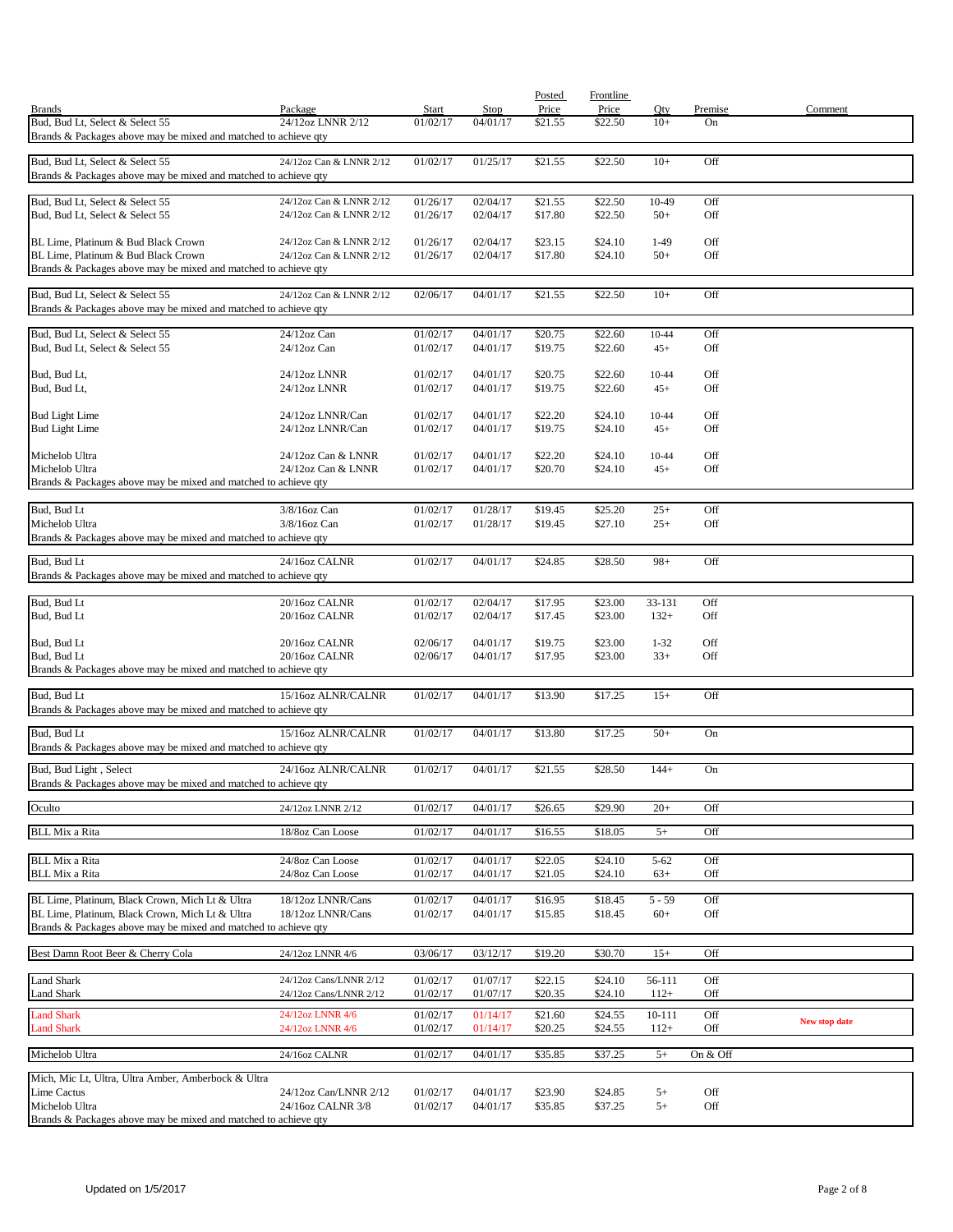|                                                                                                                    |                                      |                      |                      | Posted             | Frontline          |                |            |                      |
|--------------------------------------------------------------------------------------------------------------------|--------------------------------------|----------------------|----------------------|--------------------|--------------------|----------------|------------|----------------------|
| <b>Brands</b>                                                                                                      | Package                              | <b>Start</b>         | Stop                 | Price              | Price              | Qty            | Premise    | Comment              |
| Bud, Bud Lt, Select & Select 55<br>Brands & Packages above may be mixed and matched to achieve qty                 | 24/12oz LNNR 2/12                    | 01/02/17             | 04/01/17             | \$21.55            | \$22.50            | $10+$          | On         |                      |
| Bud, Bud Lt, Select & Select 55                                                                                    | 24/12oz Can & LNNR 2/12              | 01/02/17             | 01/25/17             | \$21.55            | \$22.50            | $10+$          | Off        |                      |
| Brands & Packages above may be mixed and matched to achieve qty                                                    |                                      |                      |                      |                    |                    |                |            |                      |
| Bud, Bud Lt, Select & Select 55                                                                                    | 24/12oz Can & LNNR 2/12              | 01/26/17             | 02/04/17             | \$21.55            | \$22.50            | 10-49          | Off        |                      |
| Bud, Bud Lt, Select & Select 55                                                                                    | 24/12oz Can & LNNR 2/12              | 01/26/17             | 02/04/17             | \$17.80            | \$22.50            | $50+$          | Off        |                      |
| BL Lime, Platinum & Bud Black Crown                                                                                | 24/12oz Can & LNNR 2/12              | 01/26/17             | 02/04/17             | \$23.15            | \$24.10            | $1-49$         | Off        |                      |
| BL Lime. Platinum & Bud Black Crown                                                                                | 24/12oz Can & LNNR 2/12              | 01/26/17             | 02/04/17             | \$17.80            | \$24.10            | $50+$          | Off        |                      |
| Brands & Packages above may be mixed and matched to achieve qty                                                    |                                      |                      |                      |                    |                    |                |            |                      |
|                                                                                                                    |                                      |                      |                      |                    |                    |                |            |                      |
| Bud, Bud Lt, Select & Select 55<br>Brands & Packages above may be mixed and matched to achieve qty                 | 24/12oz Can & LNNR 2/12              | 02/06/17             | 04/01/17             | \$21.55            | \$22.50            | $10+$          | Off        |                      |
|                                                                                                                    |                                      |                      |                      |                    |                    |                |            |                      |
| Bud, Bud Lt, Select & Select 55<br>Bud, Bud Lt, Select & Select 55                                                 | 24/12oz Can<br>$24/12$ oz Can        | 01/02/17<br>01/02/17 | 04/01/17<br>04/01/17 | \$20.75<br>\$19.75 | \$22.60<br>\$22.60 | 10-44<br>$45+$ | Off<br>Off |                      |
|                                                                                                                    |                                      |                      |                      |                    |                    |                |            |                      |
| Bud, Bud Lt,<br>Bud, Bud Lt,                                                                                       | 24/12oz LNNR<br>24/12oz LNNR         | 01/02/17<br>01/02/17 | 04/01/17<br>04/01/17 | \$20.75<br>\$19.75 | \$22.60<br>\$22.60 | 10-44<br>$45+$ | Off<br>Off |                      |
|                                                                                                                    |                                      |                      |                      |                    |                    |                | Off        |                      |
| <b>Bud Light Lime</b><br><b>Bud Light Lime</b>                                                                     | 24/12oz LNNR/Can<br>24/12oz LNNR/Can | 01/02/17<br>01/02/17 | 04/01/17<br>04/01/17 | \$22.20<br>\$19.75 | \$24.10<br>\$24.10 | 10-44<br>$45+$ | Off        |                      |
| Michelob Ultra                                                                                                     | 24/12oz Can & LNNR                   | 01/02/17             | 04/01/17             | \$22.20            | \$24.10            | 10-44          | Off        |                      |
| Michelob Ultra                                                                                                     | 24/12oz Can & LNNR                   | 01/02/17             | 04/01/17             | \$20.70            | \$24.10            | $45+$          | Off        |                      |
| Brands & Packages above may be mixed and matched to achieve qty                                                    |                                      |                      |                      |                    |                    |                |            |                      |
|                                                                                                                    |                                      |                      |                      |                    |                    |                |            |                      |
| Bud, Bud Lt                                                                                                        | 3/8/16oz Can                         | 01/02/17             | 01/28/17             | \$19.45            | \$25.20            | $25+$          | Off        |                      |
| Michelob Ultra<br>Brands & Packages above may be mixed and matched to achieve qty                                  | 3/8/16oz Can                         | 01/02/17             | 01/28/17             | \$19.45            | \$27.10            | $25+$          | Off        |                      |
| Bud, Bud Lt                                                                                                        | 24/16oz CALNR                        | 01/02/17             | 04/01/17             | \$24.85            | \$28.50            | $98+$          | Off        |                      |
| Brands & Packages above may be mixed and matched to achieve qty                                                    |                                      |                      |                      |                    |                    |                |            |                      |
| Bud, Bud Lt                                                                                                        | 20/16oz CALNR                        | 01/02/17             | 02/04/17             | \$17.95            | \$23.00            | 33-131         | Off        |                      |
| Bud, Bud Lt                                                                                                        | 20/16oz CALNR                        | 01/02/17             | 02/04/17             | \$17.45            | \$23.00            | $132+$         | Off        |                      |
| Bud, Bud Lt                                                                                                        | 20/16oz CALNR                        | 02/06/17             | 04/01/17             | \$19.75            | \$23.00            | $1 - 32$       | Off        |                      |
| Bud, Bud Lt<br>Brands & Packages above may be mixed and matched to achieve qty                                     | 20/16oz CALNR                        | 02/06/17             | 04/01/17             | \$17.95            | \$23.00            | $33+$          | Off        |                      |
|                                                                                                                    |                                      |                      |                      |                    |                    |                |            |                      |
| Bud, Bud Lt<br>Brands & Packages above may be mixed and matched to achieve qty                                     | 15/16oz ALNR/CALNR                   | 01/02/17             | 04/01/17             | \$13.90            | \$17.25            | $15+$          | Off        |                      |
| Bud, Bud Lt                                                                                                        | 15/16oz ALNR/CALNR                   | 01/02/17             | 04/01/17             | \$13.80            | \$17.25            | $50+$          | On         |                      |
| Brands & Packages above may be mixed and matched to achieve qty                                                    |                                      |                      |                      |                    |                    |                |            |                      |
| Bud, Bud Light, Select                                                                                             | 24/16oz ALNR/CALNR                   | 01/02/17             | 04/01/17             | \$21.55            | \$28.50            | $144+$         | On         |                      |
| Brands & Packages above may be mixed and matched to achieve qty                                                    |                                      |                      |                      |                    |                    |                |            |                      |
| Oculto                                                                                                             | 24/12oz LNNR 2/12                    | 01/02/17             | 04/01/17             | \$26.65            | \$29.90            | $20+$          | Off        |                      |
| <b>BLL Mix a Rita</b>                                                                                              | 18/8oz Can Loose                     | 01/02/17             | 04/01/17             | \$16.55            | \$18.05            | $5+$           | Off        |                      |
|                                                                                                                    |                                      |                      |                      |                    |                    |                |            |                      |
| <b>BLL Mix a Rita</b>                                                                                              | 24/8oz Can Loose                     | 01/02/17             | 04/01/17             | \$22.05            | \$24.10            | $5 - 62$       | Off        |                      |
| <b>BLL Mix a Rita</b>                                                                                              | 24/8oz Can Loose                     | 01/02/17             | 04/01/17             | \$21.05            | \$24.10            | $63+$          | Off        |                      |
| BL Lime, Platinum, Black Crown, Mich Lt & Ultra                                                                    | 18/12oz LNNR/Cans                    | 01/02/17             | 04/01/17             | \$16.95            | \$18.45            | $5 - 59$       | Off        |                      |
| BL Lime, Platinum, Black Crown, Mich Lt & Ultra<br>Brands & Packages above may be mixed and matched to achieve qty | 18/12oz LNNR/Cans                    | 01/02/17             | 04/01/17             | \$15.85            | \$18.45            | $60+$          | Off        |                      |
|                                                                                                                    |                                      |                      |                      |                    |                    |                |            |                      |
| Best Damn Root Beer & Cherry Cola                                                                                  | 24/12oz LNNR 4/6                     | 03/06/17             | 03/12/17             | \$19.20            | \$30.70            | $15+$          | Off        |                      |
| Land Shark                                                                                                         | 24/12oz Cans/LNNR 2/12               | 01/02/17             | 01/07/17             | \$22.15            | \$24.10            | 56-111         | Off        |                      |
| Land Shark                                                                                                         | 24/12oz Cans/LNNR 2/12               | 01/02/17             | 01/07/17             | \$20.35            | \$24.10            | $112+$         | Off        |                      |
| <b>Land Shark</b>                                                                                                  | 24/12oz LNNR 4/6                     | 01/02/17             | 01/14/17             | \$21.60            | \$24.55            | 10-111         | Off        | <b>New stop date</b> |
| <b>Land Shark</b>                                                                                                  | 24/12oz LNNR 4/6                     | 01/02/17             | 01/14/17             | \$20.25            | \$24.55            | $112+$         | Off        |                      |
| Michelob Ultra                                                                                                     | 24/16oz CALNR                        | 01/02/17             | 04/01/17             | \$35.85            | \$37.25            | $5+$           | On & Off   |                      |
|                                                                                                                    |                                      |                      |                      |                    |                    |                |            |                      |
| Mich, Mic Lt, Ultra, Ultra Amber, Amberbock & Ultra<br><b>Lime Cactus</b>                                          | 24/12oz Can/LNNR 2/12                | 01/02/17             | 04/01/17             | \$23.90            | \$24.85            | $5+$           | Off        |                      |
| Michelob Ultra                                                                                                     | 24/16oz CALNR 3/8                    | 01/02/17             | 04/01/17             | \$35.85            | \$37.25            | $5+$           | Off        |                      |
| Brands & Packages above may be mixed and matched to achieve qty                                                    |                                      |                      |                      |                    |                    |                |            |                      |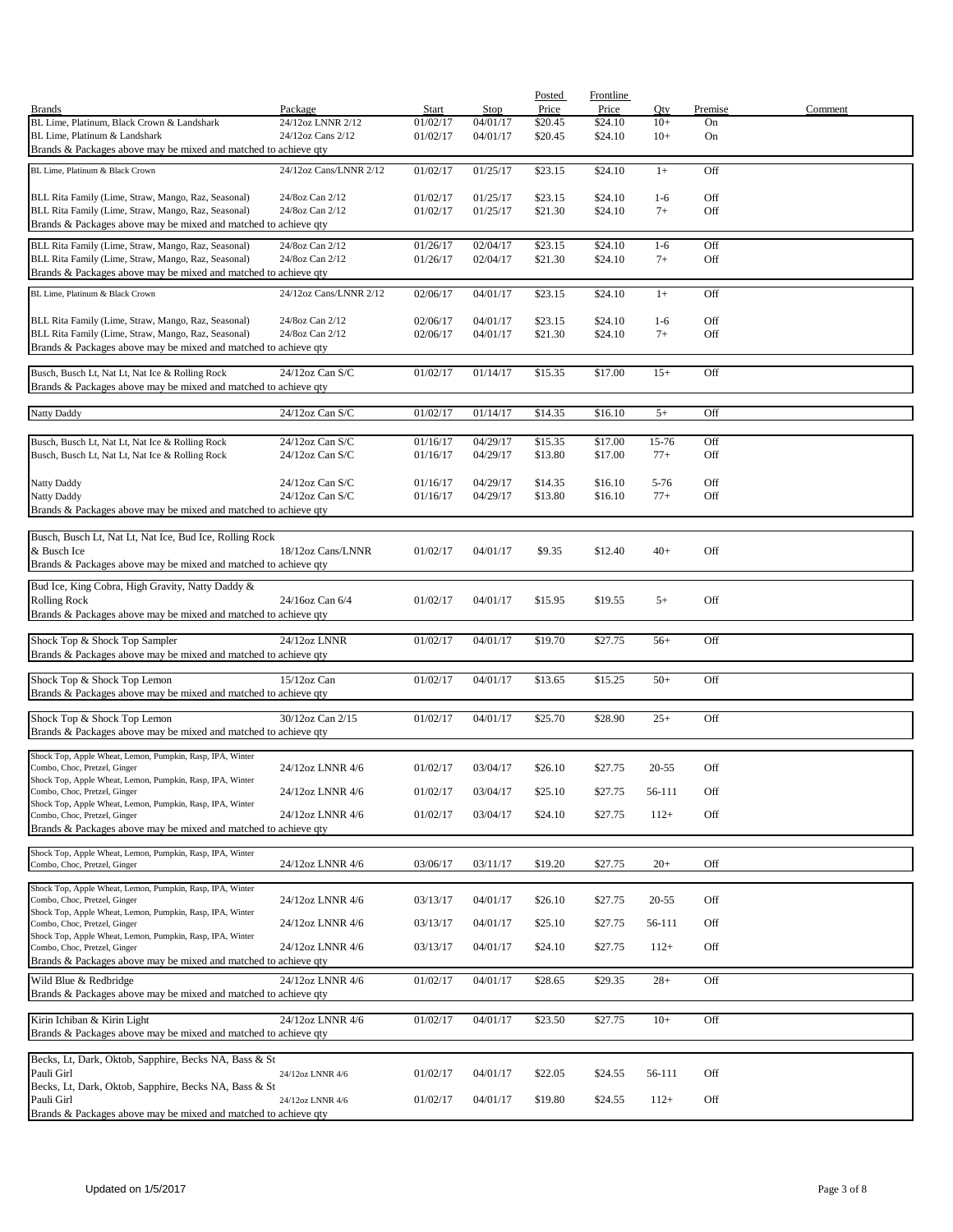|                                                                 |                        |          |                      | Posted  | <b>Frontline</b>   |           |         |         |
|-----------------------------------------------------------------|------------------------|----------|----------------------|---------|--------------------|-----------|---------|---------|
| <b>Brands</b>                                                   | Package                | Start    | Stop                 | Price   | Price              | Qty       | Premise | Comment |
| BL Lime, Platinum, Black Crown & Landshark                      | 24/12oz LNNR 2/12      | 01/02/17 | 04/01/17             | \$20.45 | \$24.10            | $10+$     | On      |         |
| BL Lime, Platinum & Landshark                                   | 24/12oz Cans 2/12      | 01/02/17 | 04/01/17             | \$20.45 | \$24.10            | $10+$     | On      |         |
| Brands & Packages above may be mixed and matched to achieve qty |                        |          |                      |         |                    |           |         |         |
| BL Lime, Platinum & Black Crown                                 | 24/12oz Cans/LNNR 2/12 |          |                      |         |                    | $1+$      | Off     |         |
|                                                                 |                        | 01/02/17 | 01/25/17             | \$23.15 | \$24.10            |           |         |         |
| BLL Rita Family (Lime, Straw, Mango, Raz, Seasonal)             | 24/8oz Can 2/12        | 01/02/17 |                      | \$23.15 |                    | $1-6$     | Off     |         |
| BLL Rita Family (Lime, Straw, Mango, Raz, Seasonal)             | 24/8oz Can 2/12        | 01/02/17 | 01/25/17<br>01/25/17 | \$21.30 | \$24.10<br>\$24.10 | $7+$      | Off     |         |
|                                                                 |                        |          |                      |         |                    |           |         |         |
| Brands & Packages above may be mixed and matched to achieve qty |                        |          |                      |         |                    |           |         |         |
| BLL Rita Family (Lime, Straw, Mango, Raz, Seasonal)             | 24/8oz Can 2/12        | 01/26/17 | 02/04/17             | \$23.15 | \$24.10            | $1-6$     | Off     |         |
| BLL Rita Family (Lime, Straw, Mango, Raz, Seasonal)             | 24/8oz Can 2/12        | 01/26/17 | 02/04/17             | \$21.30 | \$24.10            | $7+$      | Off     |         |
| Brands & Packages above may be mixed and matched to achieve qty |                        |          |                      |         |                    |           |         |         |
|                                                                 |                        |          |                      |         |                    |           |         |         |
| BL Lime, Platinum & Black Crown                                 | 24/12oz Cans/LNNR 2/12 | 02/06/17 | 04/01/17             | \$23.15 | \$24.10            | $1+$      | Off     |         |
|                                                                 |                        |          |                      |         |                    |           |         |         |
| BLL Rita Family (Lime, Straw, Mango, Raz, Seasonal)             | 24/8oz Can 2/12        | 02/06/17 | 04/01/17             | \$23.15 | \$24.10            | $1-6$     | Off     |         |
| BLL Rita Family (Lime, Straw, Mango, Raz, Seasonal)             | 24/8oz Can 2/12        | 02/06/17 | 04/01/17             | \$21.30 | \$24.10            | $7+$      | Off     |         |
| Brands & Packages above may be mixed and matched to achieve qty |                        |          |                      |         |                    |           |         |         |
|                                                                 |                        |          |                      |         |                    |           | Off     |         |
| Busch, Busch Lt, Nat Lt, Nat Ice & Rolling Rock                 | 24/12oz Can S/C        | 01/02/17 | 01/14/17             | \$15.35 | \$17.00            | $15+$     |         |         |
| Brands & Packages above may be mixed and matched to achieve qty |                        |          |                      |         |                    |           |         |         |
|                                                                 |                        |          |                      |         |                    |           |         |         |
| Natty Daddy                                                     | 24/12oz Can S/C        | 01/02/17 | 01/14/17             | \$14.35 | \$16.10            | $5+$      | Off     |         |
|                                                                 |                        |          |                      |         |                    |           |         |         |
| Busch, Busch Lt, Nat Lt, Nat Ice & Rolling Rock                 | 24/12oz Can S/C        | 01/16/17 | 04/29/17             | \$15.35 | \$17.00            | 15-76     | Off     |         |
| Busch, Busch Lt, Nat Lt, Nat Ice & Rolling Rock                 | 24/12oz Can S/C        | 01/16/17 | 04/29/17             | \$13.80 | \$17.00            | $77+$     | Off     |         |
|                                                                 |                        |          |                      |         |                    |           |         |         |
| Natty Daddy                                                     | 24/12oz Can S/C        | 01/16/17 | 04/29/17             | \$14.35 | \$16.10            | $5 - 76$  | Off     |         |
| Natty Daddy                                                     | 24/12oz Can S/C        | 01/16/17 | 04/29/17             | \$13.80 | \$16.10            | $77+$     | Off     |         |
| Brands & Packages above may be mixed and matched to achieve qty |                        |          |                      |         |                    |           |         |         |
|                                                                 |                        |          |                      |         |                    |           |         |         |
| Busch, Busch Lt, Nat Lt, Nat Ice, Bud Ice, Rolling Rock         |                        |          |                      |         |                    |           |         |         |
| & Busch Ice                                                     | 18/12oz Cans/LNNR      | 01/02/17 | 04/01/17             | \$9.35  | \$12.40            | $40+$     | Off     |         |
| Brands & Packages above may be mixed and matched to achieve qty |                        |          |                      |         |                    |           |         |         |
|                                                                 |                        |          |                      |         |                    |           |         |         |
| Bud Ice, King Cobra, High Gravity, Natty Daddy &                |                        |          |                      |         |                    |           |         |         |
| <b>Rolling Rock</b>                                             | 24/16oz Can 6/4        | 01/02/17 | 04/01/17             | \$15.95 | \$19.55            | $5+$      | Off     |         |
| Brands & Packages above may be mixed and matched to achieve qty |                        |          |                      |         |                    |           |         |         |
|                                                                 |                        |          |                      |         |                    |           |         |         |
| Shock Top & Shock Top Sampler                                   | 24/12oz LNNR           | 01/02/17 | 04/01/17             | \$19.70 | \$27.75            | $56+$     | Off     |         |
| Brands & Packages above may be mixed and matched to achieve qty |                        |          |                      |         |                    |           |         |         |
|                                                                 |                        |          |                      |         |                    |           |         |         |
| Shock Top & Shock Top Lemon                                     | 15/12oz Can            | 01/02/17 | 04/01/17             | \$13.65 | \$15.25            | $50+$     | Off     |         |
| Brands & Packages above may be mixed and matched to achieve qty |                        |          |                      |         |                    |           |         |         |
|                                                                 |                        |          | 04/01/17             |         |                    |           | Off     |         |
| Shock Top & Shock Top Lemon                                     | 30/12oz Can 2/15       | 01/02/17 |                      | \$25.70 | \$28.90            | $25+$     |         |         |
| Brands & Packages above may be mixed and matched to achieve qty |                        |          |                      |         |                    |           |         |         |
| Shock Top, Apple Wheat, Lemon, Pumpkin, Rasp, IPA, Winter       |                        |          |                      |         |                    |           |         |         |
| Combo, Choc, Pretzel, Ginger                                    | 24/12oz LNNR 4/6       | 01/02/17 | 03/04/17             | \$26.10 | \$27.75            | $20 - 55$ | Off     |         |
| Shock Top, Apple Wheat, Lemon, Pumpkin, Rasp, IPA, Winter       |                        |          |                      |         |                    |           |         |         |
| Combo, Choc, Pretzel, Ginger                                    | 24/12oz LNNR 4/6       | 01/02/17 | 03/04/17             | \$25.10 | \$27.75            | 56-111    | Off     |         |
| Shock Top, Apple Wheat, Lemon, Pumpkin, Rasp, IPA, Winter       |                        |          |                      |         |                    |           |         |         |
| Combo, Choc, Pretzel, Ginger                                    | 24/12oz LNNR 4/6       | 01/02/17 | 03/04/17             | \$24.10 | \$27.75            | $112+$    | Off     |         |
| Brands & Packages above may be mixed and matched to achieve qty |                        |          |                      |         |                    |           |         |         |
|                                                                 |                        |          |                      |         |                    |           |         |         |
| Shock Top, Apple Wheat, Lemon, Pumpkin, Rasp, IPA, Winter       |                        |          |                      |         |                    |           | Off     |         |
| Combo, Choc, Pretzel, Ginger                                    | 24/12oz LNNR 4/6       | 03/06/17 | 03/11/17             | \$19.20 | \$27.75            | $20+$     |         |         |
| Shock Top, Apple Wheat, Lemon, Pumpkin, Rasp, IPA, Winter       |                        |          |                      |         |                    |           |         |         |
| Combo, Choc, Pretzel, Ginger                                    | 24/12oz LNNR 4/6       | 03/13/17 | 04/01/17             | \$26.10 | \$27.75            | $20 - 55$ | Off     |         |
| Shock Top, Apple Wheat, Lemon, Pumpkin, Rasp, IPA, Winter       |                        |          |                      |         |                    |           |         |         |
| Combo, Choc, Pretzel, Ginger                                    | 24/12oz LNNR 4/6       | 03/13/17 | 04/01/17             | \$25.10 | \$27.75            | 56-111    | Off     |         |
| Shock Top, Apple Wheat, Lemon, Pumpkin, Rasp, IPA, Winter       |                        |          |                      |         |                    |           |         |         |
| Combo, Choc, Pretzel, Ginger                                    | 24/12oz LNNR 4/6       | 03/13/17 | 04/01/17             | \$24.10 | \$27.75            | $112+$    | Off     |         |
| Brands & Packages above may be mixed and matched to achieve qty |                        |          |                      |         |                    |           |         |         |
| Wild Blue & Redbridge                                           | 24/12oz LNNR 4/6       | 01/02/17 | 04/01/17             | \$28.65 | \$29.35            | $28+$     | Off     |         |
| Brands & Packages above may be mixed and matched to achieve qty |                        |          |                      |         |                    |           |         |         |
|                                                                 |                        |          |                      |         |                    |           |         |         |
| Kirin Ichiban & Kirin Light                                     | 24/12oz LNNR 4/6       | 01/02/17 | 04/01/17             | \$23.50 | \$27.75            | $10+$     | Off     |         |
| Brands & Packages above may be mixed and matched to achieve qty |                        |          |                      |         |                    |           |         |         |
|                                                                 |                        |          |                      |         |                    |           |         |         |
| Becks, Lt, Dark, Oktob, Sapphire, Becks NA, Bass & St           |                        |          |                      |         |                    |           |         |         |
| Pauli Girl                                                      | 24/12oz LNNR 4/6       | 01/02/17 | 04/01/17             | \$22.05 | \$24.55            | 56-111    | Off     |         |
| Becks, Lt, Dark, Oktob, Sapphire, Becks NA, Bass & St           |                        |          |                      |         |                    |           |         |         |
| Pauli Girl                                                      | 24/12oz LNNR 4/6       | 01/02/17 | 04/01/17             | \$19.80 | \$24.55            | $112+$    | Off     |         |
| Brands & Packages above may be mixed and matched to achieve qty |                        |          |                      |         |                    |           |         |         |
|                                                                 |                        |          |                      |         |                    |           |         |         |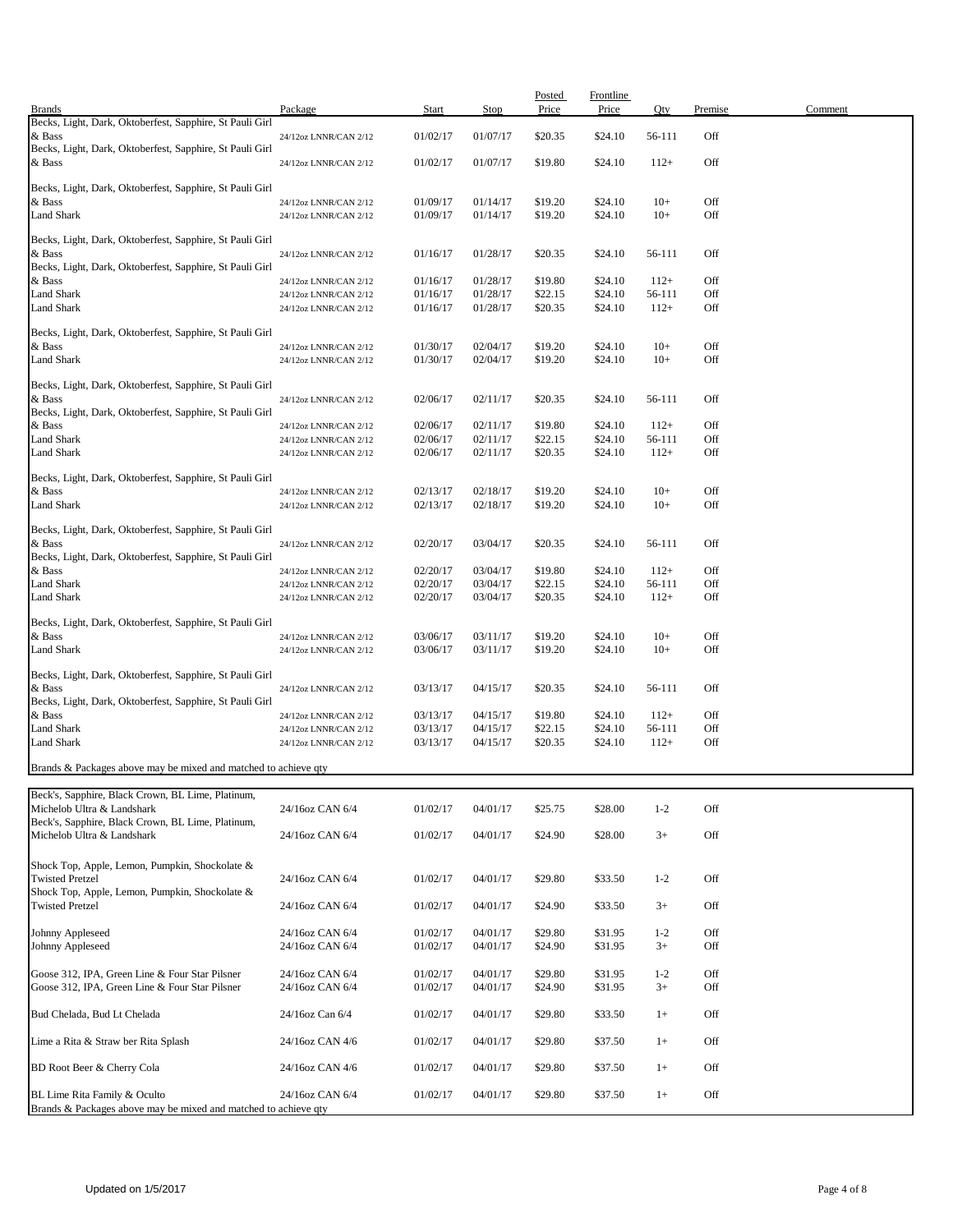| <b>Brands</b>                                                                   | Package                                        | <b>Start</b>         | Stop                 | Posted<br>Price    | Frontline<br>Price | Qty              | Premise    | Comment |
|---------------------------------------------------------------------------------|------------------------------------------------|----------------------|----------------------|--------------------|--------------------|------------------|------------|---------|
| Becks, Light, Dark, Oktoberfest, Sapphire, St Pauli Girl                        |                                                |                      |                      |                    |                    |                  |            |         |
| & Bass<br>Becks, Light, Dark, Oktoberfest, Sapphire, St Pauli Girl              | 24/12oz LNNR/CAN 2/12                          | 01/02/17             | 01/07/17             | \$20.35            | \$24.10            | 56-111           | Off        |         |
| & Bass                                                                          | 24/12oz LNNR/CAN 2/12                          | 01/02/17             | 01/07/17             | \$19.80            | \$24.10            | $112+$           | Off        |         |
|                                                                                 |                                                |                      |                      |                    |                    |                  |            |         |
| Becks, Light, Dark, Oktoberfest, Sapphire, St Pauli Girl                        |                                                |                      |                      |                    |                    |                  |            |         |
| & Bass<br><b>Land Shark</b>                                                     | 24/12oz LNNR/CAN 2/12<br>24/12oz LNNR/CAN 2/12 | 01/09/17<br>01/09/17 | 01/14/17<br>01/14/17 | \$19.20<br>\$19.20 | \$24.10<br>\$24.10 | $10+$<br>$10+$   | Off<br>Off |         |
|                                                                                 |                                                |                      |                      |                    |                    |                  |            |         |
| Becks, Light, Dark, Oktoberfest, Sapphire, St Pauli Girl                        |                                                |                      |                      |                    |                    |                  |            |         |
| & Bass                                                                          | 24/12oz LNNR/CAN 2/12                          | 01/16/17             | 01/28/17             | \$20.35            | \$24.10            | 56-111           | Off        |         |
| Becks, Light, Dark, Oktoberfest, Sapphire, St Pauli Girl                        |                                                |                      |                      | \$19.80            |                    |                  | Off        |         |
| & Bass<br><b>Land Shark</b>                                                     | 24/12oz LNNR/CAN 2/12<br>24/12oz LNNR/CAN 2/12 | 01/16/17<br>01/16/17 | 01/28/17<br>01/28/17 | \$22.15            | \$24.10<br>\$24.10 | $112+$<br>56-111 | Off        |         |
| <b>Land Shark</b>                                                               | 24/12oz LNNR/CAN 2/12                          | 01/16/17             | 01/28/17             | \$20.35            | \$24.10            | $112+$           | Off        |         |
|                                                                                 |                                                |                      |                      |                    |                    |                  |            |         |
| Becks, Light, Dark, Oktoberfest, Sapphire, St Pauli Girl<br>& Bass              |                                                | 01/30/17             | 02/04/17             | \$19.20            | \$24.10            | $10+$            | Off        |         |
| <b>Land Shark</b>                                                               | 24/12oz LNNR/CAN 2/12<br>24/12oz LNNR/CAN 2/12 | 01/30/17             | 02/04/17             | \$19.20            | \$24.10            | $10+$            | Off        |         |
|                                                                                 |                                                |                      |                      |                    |                    |                  |            |         |
| Becks, Light, Dark, Oktoberfest, Sapphire, St Pauli Girl                        |                                                |                      |                      |                    |                    |                  |            |         |
| & Bass<br>Becks, Light, Dark, Oktoberfest, Sapphire, St Pauli Girl              | 24/12oz LNNR/CAN 2/12                          | 02/06/17             | 02/11/17             | \$20.35            | \$24.10            | 56-111           | Off        |         |
| & Bass                                                                          | 24/12oz LNNR/CAN 2/12                          | 02/06/17             | 02/11/17             | \$19.80            | \$24.10            | $112+$           | Off        |         |
| <b>Land Shark</b>                                                               | 24/12oz LNNR/CAN 2/12                          | 02/06/17             | 02/11/17             | \$22.15            | \$24.10            | 56-111           | Off        |         |
| <b>Land Shark</b>                                                               | 24/12oz LNNR/CAN 2/12                          | 02/06/17             | 02/11/17             | \$20.35            | \$24.10            | $112+$           | Off        |         |
|                                                                                 |                                                |                      |                      |                    |                    |                  |            |         |
| Becks, Light, Dark, Oktoberfest, Sapphire, St Pauli Girl<br>& Bass              | 24/12oz LNNR/CAN 2/12                          | 02/13/17             | 02/18/17             | \$19.20            | \$24.10            | $10+$            | Off        |         |
| <b>Land Shark</b>                                                               | 24/12oz LNNR/CAN 2/12                          | 02/13/17             | 02/18/17             | \$19.20            | \$24.10            | $10+$            | Off        |         |
|                                                                                 |                                                |                      |                      |                    |                    |                  |            |         |
| Becks, Light, Dark, Oktoberfest, Sapphire, St Pauli Girl                        |                                                |                      |                      |                    |                    |                  |            |         |
| & Bass<br>Becks, Light, Dark, Oktoberfest, Sapphire, St Pauli Girl              | 24/12oz LNNR/CAN 2/12                          | 02/20/17             | 03/04/17             | \$20.35            | \$24.10            | 56-111           | Off        |         |
| & Bass                                                                          | 24/12oz LNNR/CAN 2/12                          | 02/20/17             | 03/04/17             | \$19.80            | \$24.10            | $112+$           | Off        |         |
| <b>Land Shark</b>                                                               | 24/12oz LNNR/CAN 2/12                          | 02/20/17             | 03/04/17             | \$22.15            | \$24.10            | 56-111           | Off        |         |
| <b>Land Shark</b>                                                               | 24/12oz LNNR/CAN 2/12                          | 02/20/17             | 03/04/17             | \$20.35            | \$24.10            | $112+$           | Off        |         |
| Becks, Light, Dark, Oktoberfest, Sapphire, St Pauli Girl                        |                                                |                      |                      |                    |                    |                  |            |         |
| & Bass                                                                          | 24/12oz LNNR/CAN 2/12                          | 03/06/17             | 03/11/17             | \$19.20            | \$24.10            | $10+$            | Off        |         |
| <b>Land Shark</b>                                                               | 24/12oz LNNR/CAN 2/12                          | 03/06/17             | 03/11/17             | \$19.20            | \$24.10            | $10+$            | Off        |         |
|                                                                                 |                                                |                      |                      |                    |                    |                  |            |         |
| Becks, Light, Dark, Oktoberfest, Sapphire, St Pauli Girl<br>& Bass              | 24/12oz LNNR/CAN 2/12                          | 03/13/17             | 04/15/17             | \$20.35            | \$24.10            | 56-111           | Off        |         |
| Becks, Light, Dark, Oktoberfest, Sapphire, St Pauli Girl                        |                                                |                      |                      |                    |                    |                  |            |         |
| & Bass                                                                          | 24/12oz LNNR/CAN 2/12                          | 03/13/17             | 04/15/17             | \$19.80            | \$24.10            | $112+$           | Off        |         |
| <b>Land Shark</b>                                                               | 24/12oz LNNR/CAN 2/12                          | 03/13/17             | 04/15/17             | \$22.15            | \$24.10            | 56-111           | Off        |         |
| <b>Land Shark</b>                                                               | 24/12oz LNNR/CAN 2/12                          | 03/13/17             | 04/15/17             | \$20.35            | \$24.10            | $112+$           | Off        |         |
| Brands & Packages above may be mixed and matched to achieve qty                 |                                                |                      |                      |                    |                    |                  |            |         |
|                                                                                 |                                                |                      |                      |                    |                    |                  |            |         |
| Beck's, Sapphire, Black Crown, BL Lime, Platinum,                               |                                                |                      |                      |                    |                    |                  |            |         |
| Michelob Ultra & Landshark                                                      | 24/16oz CAN 6/4                                | 01/02/17             | 04/01/17             | \$25.75            | \$28.00            | $1 - 2$          | Off        |         |
| Beck's, Sapphire, Black Crown, BL Lime, Platinum,<br>Michelob Ultra & Landshark | 24/16oz CAN 6/4                                | 01/02/17             | 04/01/17             | \$24.90            | \$28.00            | $3+$             | Off        |         |
|                                                                                 |                                                |                      |                      |                    |                    |                  |            |         |
| Shock Top, Apple, Lemon, Pumpkin, Shockolate &                                  |                                                |                      |                      |                    |                    |                  |            |         |
| <b>Twisted Pretzel</b>                                                          | 24/16oz CAN 6/4                                | 01/02/17             | 04/01/17             | \$29.80            | \$33.50            | $1 - 2$          | Off        |         |
| Shock Top, Apple, Lemon, Pumpkin, Shockolate &                                  |                                                |                      |                      |                    |                    |                  |            |         |
| <b>Twisted Pretzel</b>                                                          | 24/16oz CAN 6/4                                | 01/02/17             | 04/01/17             | \$24.90            | \$33.50            | $3+$             | Off        |         |
| Johnny Appleseed                                                                | 24/16oz CAN 6/4                                | 01/02/17             | 04/01/17             | \$29.80            | \$31.95            | $1 - 2$          | Off        |         |
| Johnny Appleseed                                                                | 24/16oz CAN 6/4                                | 01/02/17             | 04/01/17             | \$24.90            | \$31.95            | $3+$             | Off        |         |
|                                                                                 |                                                |                      |                      |                    |                    |                  |            |         |
| Goose 312, IPA, Green Line & Four Star Pilsner                                  | 24/16oz CAN 6/4                                | 01/02/17             | 04/01/17             | \$29.80            | \$31.95            | $1 - 2$          | Off        |         |
| Goose 312, IPA, Green Line & Four Star Pilsner                                  | 24/16oz CAN 6/4                                | 01/02/17             | 04/01/17             | \$24.90            | \$31.95            | $3+$             | Off        |         |
| Bud Chelada, Bud Lt Chelada                                                     | 24/16oz Can 6/4                                | 01/02/17             | 04/01/17             | \$29.80            | \$33.50            | $1+$             | Off        |         |
|                                                                                 |                                                |                      |                      |                    |                    |                  |            |         |
| Lime a Rita & Straw ber Rita Splash                                             | 24/16oz CAN 4/6                                | 01/02/17             | 04/01/17             | \$29.80            | \$37.50            | $1+$             | Off        |         |
|                                                                                 |                                                |                      |                      |                    |                    |                  |            |         |
| BD Root Beer & Cherry Cola                                                      | 24/16oz CAN 4/6                                | 01/02/17             | 04/01/17             | \$29.80            | \$37.50            | $1+$             | Off        |         |
| BL Lime Rita Family & Oculto                                                    | 24/16oz CAN 6/4                                | 01/02/17             | 04/01/17             | \$29.80            | \$37.50            | $1+$             | Off        |         |
| Brands & Packages above may be mixed and matched to achieve qty                 |                                                |                      |                      |                    |                    |                  |            |         |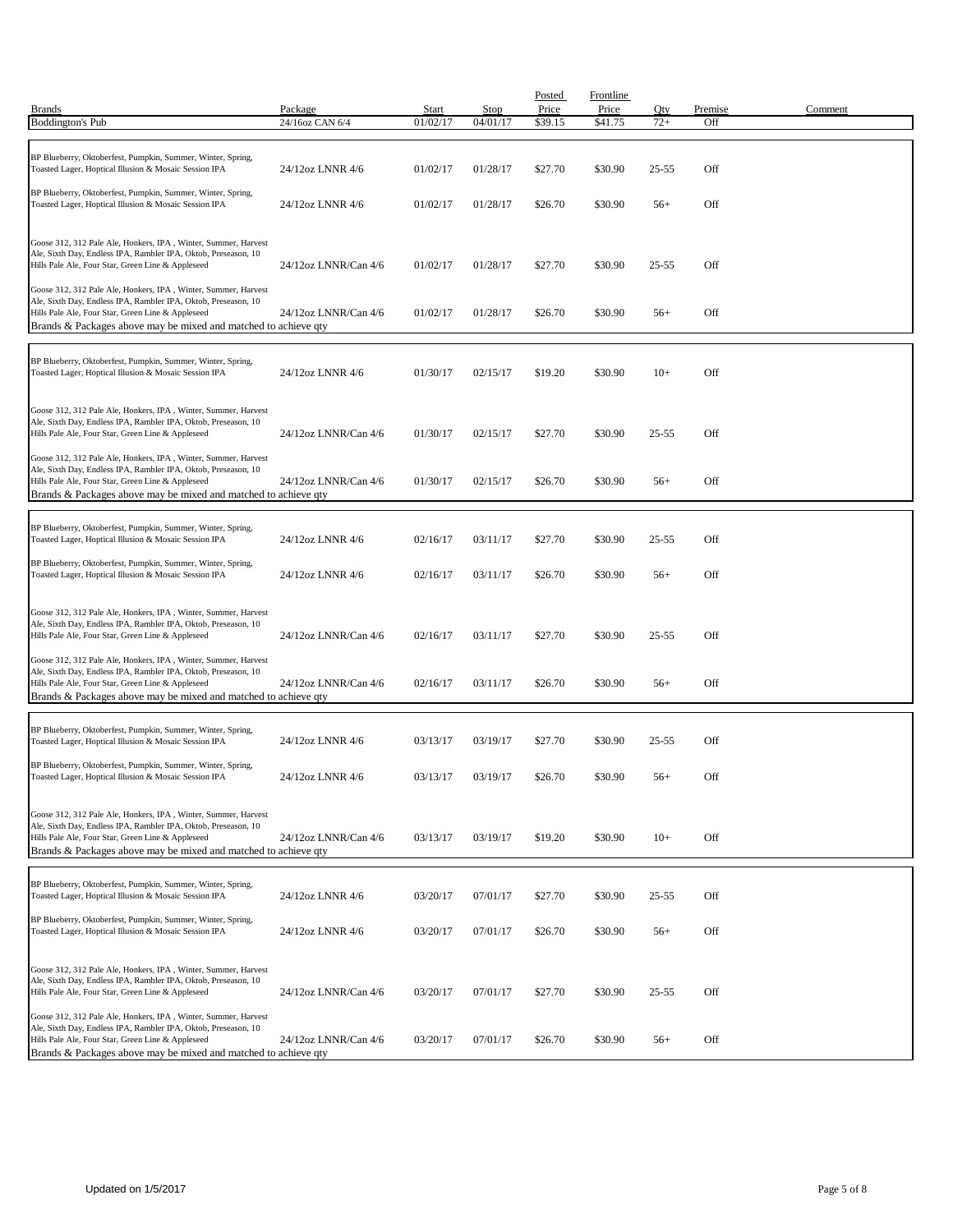| <b>Brands</b><br><b>Boddington's Pub</b>                                                                                                                                                                                                                 | Package<br>24/16oz CAN 6/4 | Start<br>01/02/17 | <b>Stop</b><br>04/01/17 | Posted<br>Price<br>\$39.15 | <b>Frontline</b><br>Price<br>\$41.75 | Qty<br>$72+$ | Premise<br>Off | Comment |
|----------------------------------------------------------------------------------------------------------------------------------------------------------------------------------------------------------------------------------------------------------|----------------------------|-------------------|-------------------------|----------------------------|--------------------------------------|--------------|----------------|---------|
|                                                                                                                                                                                                                                                          |                            |                   |                         |                            |                                      |              |                |         |
| BP Blueberry, Oktoberfest, Pumpkin, Summer, Winter, Spring,<br>Toasted Lager, Hoptical Illusion & Mosaic Session IPA                                                                                                                                     | 24/12oz LNNR 4/6           | 01/02/17          | 01/28/17                | \$27.70                    | \$30.90                              | $25 - 55$    | Off            |         |
| BP Blueberry, Oktoberfest, Pumpkin, Summer, Winter, Spring,<br>Toasted Lager, Hoptical Illusion & Mosaic Session IPA                                                                                                                                     | 24/12oz LNNR 4/6           | 01/02/17          | 01/28/17                | \$26.70                    | \$30.90                              | $56+$        | Off            |         |
| Goose 312, 312 Pale Ale, Honkers, IPA, Winter, Summer, Harvest<br>Ale, Sixth Day, Endless IPA, Rambler IPA, Oktob, Preseason, 10<br>Hills Pale Ale, Four Star, Green Line & Appleseed                                                                    | 24/12oz LNNR/Can 4/6       | 01/02/17          | 01/28/17                | \$27.70                    | \$30.90                              | $25 - 55$    | Off            |         |
| Goose 312, 312 Pale Ale, Honkers, IPA, Winter, Summer, Harvest<br>Ale, Sixth Day, Endless IPA, Rambler IPA, Oktob, Preseason, 10<br>Hills Pale Ale, Four Star, Green Line & Appleseed<br>Brands & Packages above may be mixed and matched to achieve qty | 24/12oz LNNR/Can 4/6       | 01/02/17          | 01/28/17                | \$26.70                    | \$30.90                              | $56+$        | Off            |         |
| BP Blueberry, Oktoberfest, Pumpkin, Summer, Winter, Spring,<br>Toasted Lager, Hoptical Illusion & Mosaic Session IPA                                                                                                                                     | 24/12oz LNNR 4/6           | 01/30/17          | 02/15/17                | \$19.20                    | \$30.90                              | $10+$        | Off            |         |
| Goose 312, 312 Pale Ale, Honkers, IPA, Winter, Summer, Harvest<br>Ale, Sixth Day, Endless IPA, Rambler IPA, Oktob, Preseason, 10<br>Hills Pale Ale, Four Star, Green Line & Appleseed                                                                    | 24/12oz LNNR/Can 4/6       | 01/30/17          | 02/15/17                | \$27.70                    | \$30.90                              | $25 - 55$    | Off            |         |
| Goose 312, 312 Pale Ale, Honkers, IPA, Winter, Summer, Harvest<br>Ale, Sixth Day, Endless IPA, Rambler IPA, Oktob, Preseason, 10<br>Hills Pale Ale, Four Star, Green Line & Appleseed<br>Brands & Packages above may be mixed and matched to achieve qty | 24/12oz LNNR/Can 4/6       | 01/30/17          | 02/15/17                | \$26.70                    | \$30.90                              | $56+$        | Off            |         |
| BP Blueberry, Oktoberfest, Pumpkin, Summer, Winter, Spring,<br>Toasted Lager, Hoptical Illusion & Mosaic Session IPA                                                                                                                                     | 24/12oz LNNR 4/6           | 02/16/17          | 03/11/17                | \$27.70                    | \$30.90                              | $25 - 55$    | Off            |         |
| BP Blueberry, Oktoberfest, Pumpkin, Summer, Winter, Spring,<br>Toasted Lager, Hoptical Illusion & Mosaic Session IPA                                                                                                                                     | 24/12oz LNNR 4/6           | 02/16/17          | 03/11/17                | \$26.70                    | \$30.90                              | $56+$        | Off            |         |
| Goose 312, 312 Pale Ale, Honkers, IPA, Winter, Summer, Harvest<br>Ale, Sixth Day, Endless IPA, Rambler IPA, Oktob, Preseason, 10<br>Hills Pale Ale, Four Star, Green Line & Appleseed                                                                    | 24/12oz LNNR/Can 4/6       | 02/16/17          | 03/11/17                | \$27.70                    | \$30.90                              | $25 - 55$    | Off            |         |
| Goose 312, 312 Pale Ale, Honkers, IPA, Winter, Summer, Harvest<br>Ale, Sixth Day, Endless IPA, Rambler IPA, Oktob, Preseason, 10<br>Hills Pale Ale, Four Star, Green Line & Appleseed<br>Brands & Packages above may be mixed and matched to achieve qty | 24/12oz LNNR/Can 4/6       | 02/16/17          | 03/11/17                | \$26.70                    | \$30.90                              | $56+$        | Off            |         |
| BP Blueberry, Oktoberfest, Pumpkin, Summer, Winter, Spring,<br>Toasted Lager, Hoptical Illusion & Mosaic Session IPA                                                                                                                                     | 24/12oz LNNR 4/6           | 03/13/17          | 03/19/17                | \$27.70                    | \$30.90                              | 25-55        | Off            |         |
| BP Blueberry, Oktoberfest, Pumpkin, Summer, Winter, Spring,<br>Toasted Lager, Hoptical Illusion & Mosaic Session IPA                                                                                                                                     | 24/12oz LNNR 4/6           | 03/13/17          | 03/19/17                | \$26.70                    | \$30.90                              | $56+$        | Off            |         |
| Goose 312, 312 Pale Ale, Honkers, IPA, Winter, Summer, Harvest<br>Ale, Sixth Day, Endless IPA, Rambler IPA, Oktob, Preseason, 10<br>Hills Pale Ale, Four Star, Green Line & Appleseed<br>Brands & Packages above may be mixed and matched to achieve qty | 24/12oz LNNR/Can 4/6       | 03/13/17          | 03/19/17                | \$19.20                    | \$30.90                              | $10+$        | Off            |         |
| BP Blueberry, Oktoberfest, Pumpkin, Summer, Winter, Spring,<br>Toasted Lager, Hoptical Illusion & Mosaic Session IPA                                                                                                                                     | 24/12oz LNNR 4/6           | 03/20/17          | 07/01/17                | \$27.70                    | \$30.90                              | $25 - 55$    | Off            |         |
| BP Blueberry, Oktoberfest, Pumpkin, Summer, Winter, Spring,<br>Toasted Lager, Hoptical Illusion & Mosaic Session IPA                                                                                                                                     | 24/12oz LNNR 4/6           | 03/20/17          | 07/01/17                | \$26.70                    | \$30.90                              | $56+$        | Off            |         |
| Goose 312, 312 Pale Ale, Honkers, IPA, Winter, Summer, Harvest<br>Ale, Sixth Day, Endless IPA, Rambler IPA, Oktob, Preseason, 10<br>Hills Pale Ale, Four Star, Green Line & Appleseed                                                                    | 24/12oz LNNR/Can 4/6       | 03/20/17          | 07/01/17                | \$27.70                    | \$30.90                              | $25 - 55$    | Off            |         |
| Goose 312, 312 Pale Ale, Honkers, IPA, Winter, Summer, Harvest<br>Ale, Sixth Day, Endless IPA, Rambler IPA, Oktob, Preseason, 10<br>Hills Pale Ale, Four Star, Green Line & Appleseed<br>Brands & Packages above may be mixed and matched to achieve qty | 24/12oz LNNR/Can 4/6       | 03/20/17          | 07/01/17                | \$26.70                    | \$30.90                              | $56+$        | Off            |         |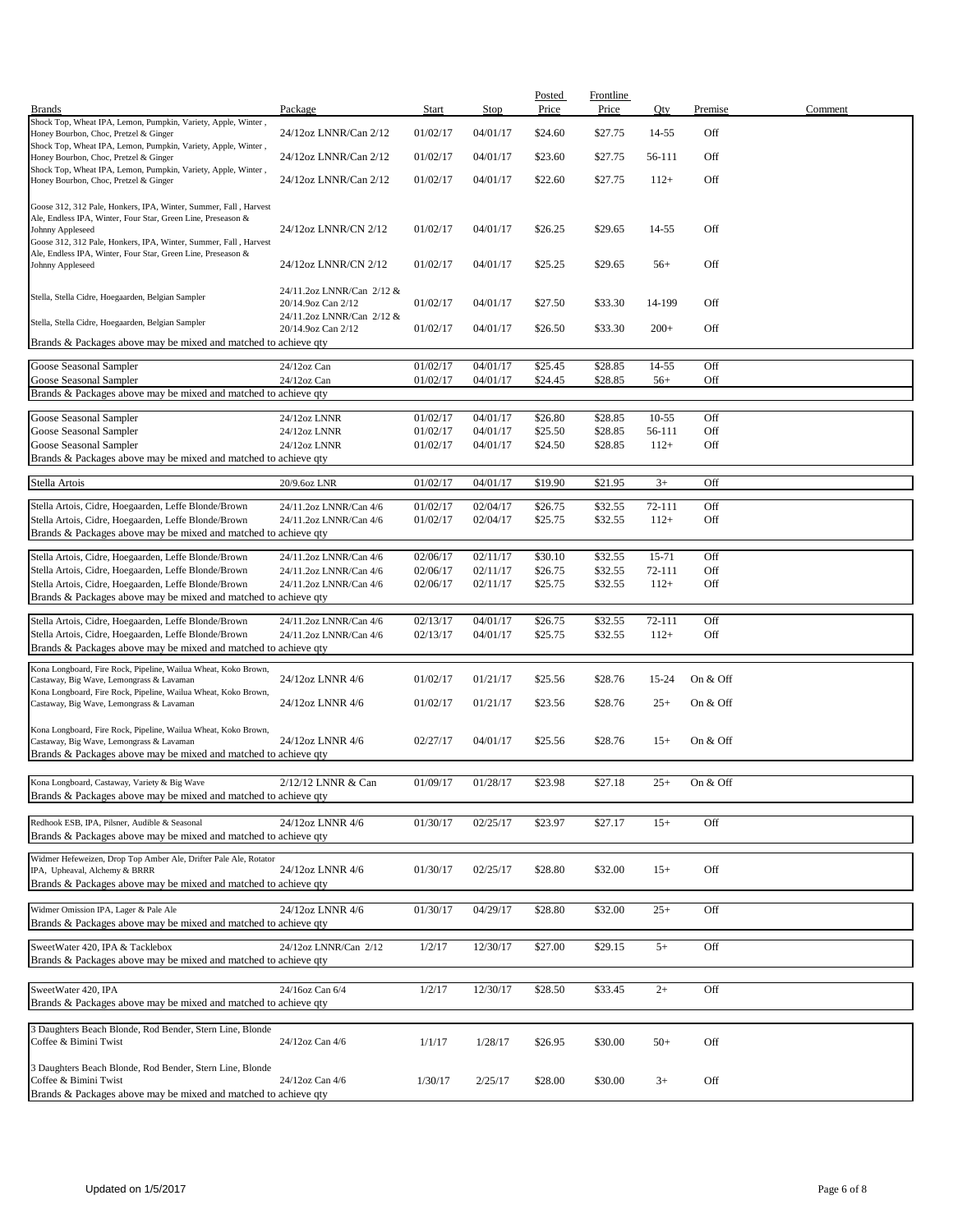|                                                                                                        |                           |          |             | Posted  | <b>Frontline</b> |         |          |         |
|--------------------------------------------------------------------------------------------------------|---------------------------|----------|-------------|---------|------------------|---------|----------|---------|
| <b>Brands</b>                                                                                          | Package                   | Start    | <b>Stop</b> | Price   | Price            | Qty     | Premise  | Comment |
| Shock Top, Wheat IPA, Lemon, Pumpkin, Variety, Apple, Winter,                                          |                           |          |             |         |                  |         |          |         |
| Honey Bourbon, Choc, Pretzel & Ginger                                                                  | 24/12oz LNNR/Can 2/12     | 01/02/17 | 04/01/17    | \$24.60 | \$27.75          | 14-55   | Off      |         |
| Shock Top, Wheat IPA, Lemon, Pumpkin, Variety, Apple, Winter,                                          |                           |          |             |         |                  |         |          |         |
| Honey Bourbon, Choc, Pretzel & Ginger                                                                  | 24/12oz LNNR/Can 2/12     | 01/02/17 | 04/01/17    | \$23.60 | \$27.75          | 56-111  | Off      |         |
| Shock Top, Wheat IPA, Lemon, Pumpkin, Variety, Apple, Winter,<br>Honey Bourbon, Choc, Pretzel & Ginger | 24/12oz LNNR/Can 2/12     | 01/02/17 | 04/01/17    | \$22.60 | \$27.75          | $112+$  | Off      |         |
|                                                                                                        |                           |          |             |         |                  |         |          |         |
| Goose 312, 312 Pale, Honkers, IPA, Winter, Summer, Fall, Harvest                                       |                           |          |             |         |                  |         |          |         |
| Ale, Endless IPA, Winter, Four Star, Green Line, Preseason &                                           |                           |          |             |         |                  |         |          |         |
| Johnny Appleseed                                                                                       | 24/12oz LNNR/CN 2/12      | 01/02/17 | 04/01/17    | \$26.25 | \$29.65          | 14-55   | Off      |         |
| Goose 312, 312 Pale, Honkers, IPA, Winter, Summer, Fall, Harvest                                       |                           |          |             |         |                  |         |          |         |
| Ale, Endless IPA, Winter, Four Star, Green Line, Preseason &                                           |                           |          |             |         |                  |         |          |         |
| Johnny Appleseed                                                                                       | 24/12oz LNNR/CN 2/12      | 01/02/17 | 04/01/17    | \$25.25 | \$29.65          | $56+$   | Off      |         |
|                                                                                                        |                           |          |             |         |                  |         |          |         |
| Stella, Stella Cidre, Hoegaarden, Belgian Sampler                                                      | 24/11.2oz LNNR/Can 2/12 & |          |             |         |                  |         |          |         |
|                                                                                                        | 20/14.9oz Can 2/12        | 01/02/17 | 04/01/17    | \$27.50 | \$33.30          | 14-199  | Off      |         |
| Stella, Stella Cidre, Hoegaarden, Belgian Sampler                                                      | 24/11.2oz LNNR/Can 2/12 & |          |             |         |                  |         |          |         |
|                                                                                                        | 20/14.9oz Can 2/12        | 01/02/17 | 04/01/17    | \$26.50 | \$33.30          | $200+$  | Off      |         |
| Brands & Packages above may be mixed and matched to achieve qty                                        |                           |          |             |         |                  |         |          |         |
|                                                                                                        | 24/12oz Can               |          |             |         |                  | 14-55   | Off      |         |
| Goose Seasonal Sampler                                                                                 |                           | 01/02/17 | 04/01/17    | \$25.45 | \$28.85          |         |          |         |
| Goose Seasonal Sampler                                                                                 | 24/12oz Can               | 01/02/17 | 04/01/17    | \$24.45 | \$28.85          | $56+$   | Off      |         |
| Brands & Packages above may be mixed and matched to achieve qty                                        |                           |          |             |         |                  |         |          |         |
| Goose Seasonal Sampler                                                                                 | 24/12oz LNNR              | 01/02/17 | 04/01/17    | \$26.80 | \$28.85          | $10-55$ | Off      |         |
| Goose Seasonal Sampler                                                                                 | 24/12oz LNNR              | 01/02/17 | 04/01/17    | \$25.50 | \$28.85          | 56-111  | Off      |         |
| Goose Seasonal Sampler                                                                                 | 24/12oz LNNR              | 01/02/17 | 04/01/17    | \$24.50 | \$28.85          | $112+$  | Off      |         |
|                                                                                                        |                           |          |             |         |                  |         |          |         |
| Brands & Packages above may be mixed and matched to achieve qty                                        |                           |          |             |         |                  |         |          |         |
| Stella Artois                                                                                          | 20/9.6oz LNR              | 01/02/17 | 04/01/17    | \$19.90 | \$21.95          | $3+$    | Off      |         |
|                                                                                                        |                           |          |             |         |                  |         |          |         |
| Stella Artois, Cidre, Hoegaarden, Leffe Blonde/Brown                                                   | 24/11.2oz LNNR/Can 4/6    | 01/02/17 | 02/04/17    | \$26.75 | \$32.55          | 72-111  | Off      |         |
| Stella Artois, Cidre, Hoegaarden, Leffe Blonde/Brown                                                   | 24/11.2oz LNNR/Can 4/6    | 01/02/17 | 02/04/17    | \$25.75 | \$32.55          | $112+$  | Off      |         |
| Brands & Packages above may be mixed and matched to achieve qty                                        |                           |          |             |         |                  |         |          |         |
|                                                                                                        |                           |          |             |         |                  |         |          |         |
| Stella Artois, Cidre, Hoegaarden, Leffe Blonde/Brown                                                   | 24/11.2oz LNNR/Can 4/6    | 02/06/17 | 02/11/17    | \$30.10 | \$32.55          | 15-71   | Off      |         |
| Stella Artois, Cidre, Hoegaarden, Leffe Blonde/Brown                                                   | 24/11.2oz LNNR/Can 4/6    | 02/06/17 | 02/11/17    | \$26.75 | \$32.55          | 72-111  | Off      |         |
| Stella Artois, Cidre, Hoegaarden, Leffe Blonde/Brown                                                   | 24/11.2oz LNNR/Can 4/6    | 02/06/17 | 02/11/17    | \$25.75 | \$32.55          | $112+$  | Off      |         |
| Brands & Packages above may be mixed and matched to achieve qty                                        |                           |          |             |         |                  |         |          |         |
|                                                                                                        |                           |          |             |         |                  |         |          |         |
| Stella Artois, Cidre, Hoegaarden, Leffe Blonde/Brown                                                   | 24/11.2oz LNNR/Can 4/6    | 02/13/17 | 04/01/17    | \$26.75 | \$32.55          | 72-111  | Off      |         |
| Stella Artois, Cidre, Hoegaarden, Leffe Blonde/Brown                                                   | 24/11.2oz LNNR/Can 4/6    | 02/13/17 | 04/01/17    | \$25.75 | \$32.55          | $112+$  | Off      |         |
| Brands & Packages above may be mixed and matched to achieve qty                                        |                           |          |             |         |                  |         |          |         |
| Kona Longboard, Fire Rock, Pipeline, Wailua Wheat, Koko Brown,                                         |                           |          |             |         |                  |         |          |         |
| Castaway, Big Wave, Lemongrass & Lavaman                                                               | 24/12oz LNNR 4/6          | 01/02/17 | 01/21/17    | \$25.56 | \$28.76          | 15-24   | On & Off |         |
| Kona Longboard, Fire Rock, Pipeline, Wailua Wheat, Koko Brown,                                         |                           |          |             |         |                  |         |          |         |
| Castaway, Big Wave, Lemongrass & Lavaman                                                               | 24/12oz LNNR 4/6          | 01/02/17 | 01/21/17    | \$23.56 | \$28.76          | $25+$   | On & Off |         |
|                                                                                                        |                           |          |             |         |                  |         |          |         |
| Kona Longboard, Fire Rock, Pipeline, Wailua Wheat, Koko Brown,                                         |                           |          |             |         |                  |         |          |         |
| Castaway, Big Wave, Lemongrass & Lavaman                                                               | 24/12oz LNNR 4/6          | 02/27/17 | 04/01/17    | \$25.56 | \$28.76          | $15+$   | On & Off |         |
| Brands & Packages above may be mixed and matched to achieve qty                                        |                           |          |             |         |                  |         |          |         |
|                                                                                                        |                           |          |             |         |                  |         |          |         |
| Kona Longboard, Castaway, Variety & Big Wave                                                           | 2/12/12 LNNR & Can        | 01/09/17 | 01/28/17    | \$23.98 | \$27.18          | $25+$   | On & Off |         |
| Brands & Packages above may be mixed and matched to achieve qty                                        |                           |          |             |         |                  |         |          |         |
|                                                                                                        |                           |          |             |         |                  |         |          |         |
| Redhook ESB, IPA, Pilsner, Audible & Seasonal                                                          | 24/12oz LNNR 4/6          | 01/30/17 | 02/25/17    | \$23.97 | \$27.17          | $15+$   | Off      |         |
| Brands & Packages above may be mixed and matched to achieve gty                                        |                           |          |             |         |                  |         |          |         |
|                                                                                                        |                           |          |             |         |                  |         |          |         |
| Widmer Hefeweizen, Drop Top Amber Ale, Drifter Pale Ale, Rotator                                       |                           |          |             |         |                  |         |          |         |
| IPA, Upheaval, Alchemy & BRRR                                                                          | 24/12oz LNNR 4/6          | 01/30/17 | 02/25/17    | \$28.80 | \$32.00          | $15+$   | Off      |         |
| Brands & Packages above may be mixed and matched to achieve qty                                        |                           |          |             |         |                  |         |          |         |
|                                                                                                        |                           |          |             |         |                  |         |          |         |
| Widmer Omission IPA, Lager & Pale Ale                                                                  | 24/12oz LNNR 4/6          | 01/30/17 | 04/29/17    | \$28.80 | \$32.00          | $25+$   | Off      |         |
| Brands & Packages above may be mixed and matched to achieve qty                                        |                           |          |             |         |                  |         |          |         |
| SweetWater 420, IPA & Tacklebox                                                                        | 24/12oz LNNR/Can 2/12     | 1/2/17   | 12/30/17    | \$27.00 | \$29.15          | $5+$    | Off      |         |
| Brands & Packages above may be mixed and matched to achieve gty                                        |                           |          |             |         |                  |         |          |         |
|                                                                                                        |                           |          |             |         |                  |         |          |         |
|                                                                                                        |                           |          |             |         |                  |         |          |         |
| SweetWater 420, IPA                                                                                    | 24/16oz Can 6/4           | 1/2/17   | 12/30/17    | \$28.50 | \$33.45          | $2+$    | Off      |         |
| Brands & Packages above may be mixed and matched to achieve qty                                        |                           |          |             |         |                  |         |          |         |
|                                                                                                        |                           |          |             |         |                  |         |          |         |
| 3 Daughters Beach Blonde, Rod Bender, Stern Line, Blonde<br>Coffee & Bimini Twist                      |                           |          |             |         |                  |         | Off      |         |
|                                                                                                        | 24/12oz Can 4/6           | 1/1/17   | 1/28/17     | \$26.95 | \$30.00          | $50+$   |          |         |
| 3 Daughters Beach Blonde, Rod Bender, Stern Line, Blonde                                               |                           |          |             |         |                  |         |          |         |
| Coffee & Bimini Twist                                                                                  | 24/12oz Can 4/6           | 1/30/17  | 2/25/17     | \$28.00 | \$30.00          | $3+$    | Off      |         |
| Brands & Packages above may be mixed and matched to achieve qty                                        |                           |          |             |         |                  |         |          |         |
|                                                                                                        |                           |          |             |         |                  |         |          |         |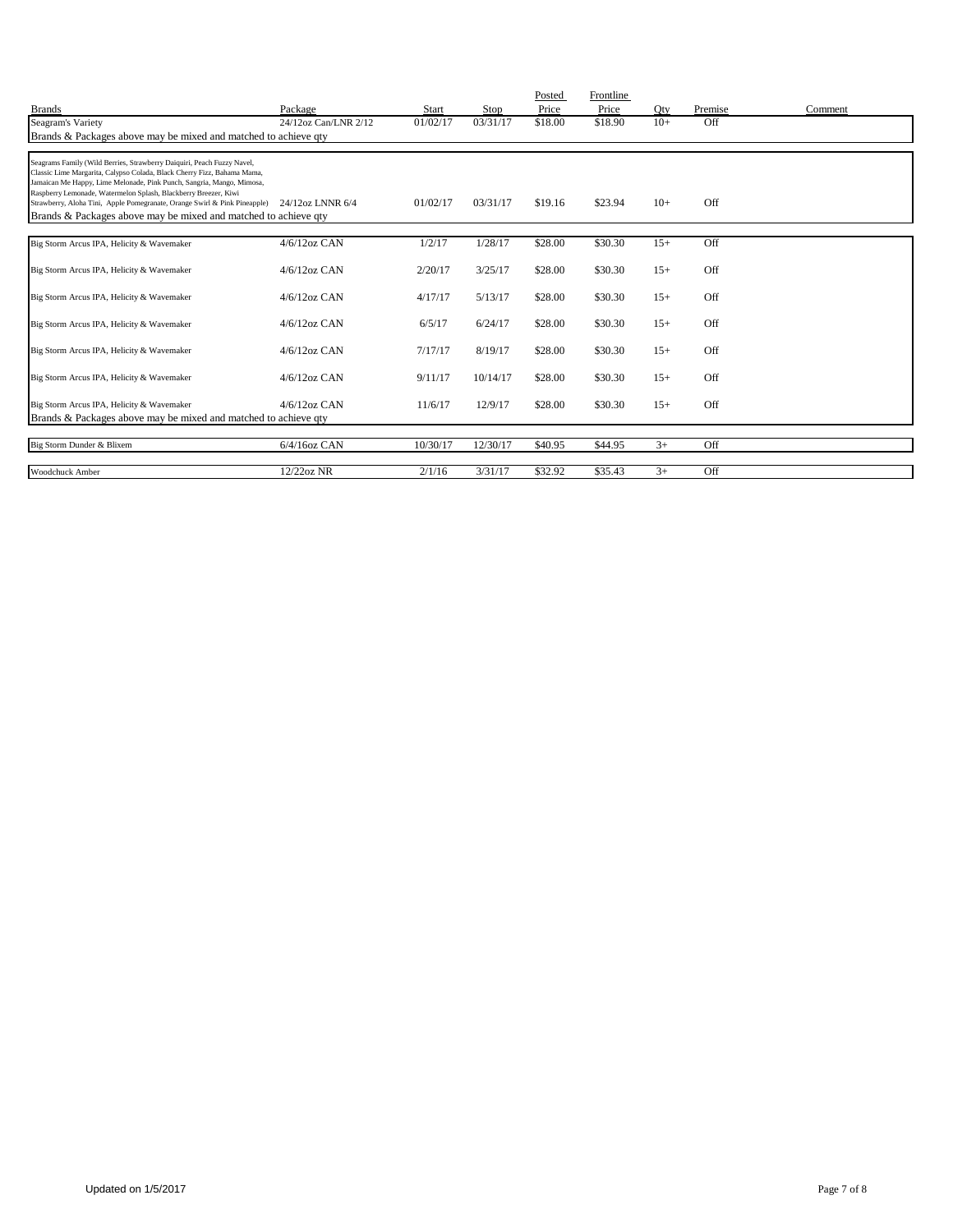| <b>Brands</b>                                                                                                                                                                                                                                                                                 | Package              | <b>Start</b> | Stop     | Posted<br>Price | Frontline<br>Price | Oty   | Premise | Comment |
|-----------------------------------------------------------------------------------------------------------------------------------------------------------------------------------------------------------------------------------------------------------------------------------------------|----------------------|--------------|----------|-----------------|--------------------|-------|---------|---------|
| Seagram's Variety                                                                                                                                                                                                                                                                             | 24/12oz Can/LNR 2/12 | 01/02/17     | 03/31/17 | \$18.00         | \$18.90            | $10+$ | Off     |         |
| Brands & Packages above may be mixed and matched to achieve qty                                                                                                                                                                                                                               |                      |              |          |                 |                    |       |         |         |
|                                                                                                                                                                                                                                                                                               |                      |              |          |                 |                    |       |         |         |
| Seagrams Family (Wild Berries, Strawberry Daiquiri, Peach Fuzzy Navel,<br>Classic Lime Margarita, Calypso Colada, Black Cherry Fizz, Bahama Mama,<br>Jamaican Me Happy, Lime Melonade, Pink Punch, Sangria, Mango, Mimosa,<br>Raspberry Lemonade, Watermelon Splash, Blackberry Breezer, Kiwi |                      |              |          |                 |                    |       | Off     |         |
| Strawberry, Aloha Tini, Apple Pomegranate, Orange Swirl & Pink Pineapple) 24/12oz LNNR 6/4<br>Brands & Packages above may be mixed and matched to achieve gty                                                                                                                                 |                      | 01/02/17     | 03/31/17 | \$19.16         | \$23.94            | $10+$ |         |         |
|                                                                                                                                                                                                                                                                                               |                      |              |          |                 |                    |       |         |         |
| Big Storm Arcus IPA, Helicity & Wavemaker                                                                                                                                                                                                                                                     | $4/6/12$ oz CAN      | 1/2/17       | 1/28/17  | \$28.00         | \$30.30            | $15+$ | Off     |         |
| Big Storm Arcus IPA, Helicity & Wavemaker                                                                                                                                                                                                                                                     | $4/6/12$ oz CAN      | 2/20/17      | 3/25/17  | \$28.00         | \$30.30            | $15+$ | Off     |         |
| Big Storm Arcus IPA, Helicity & Wavemaker                                                                                                                                                                                                                                                     | $4/6/12$ oz CAN      | 4/17/17      | 5/13/17  | \$28.00         | \$30.30            | $15+$ | Off     |         |
| Big Storm Arcus IPA, Helicity & Wavemaker                                                                                                                                                                                                                                                     | $4/6/12$ oz CAN      | 6/5/17       | 6/24/17  | \$28.00         | \$30.30            | $15+$ | Off     |         |
| Big Storm Arcus IPA, Helicity & Wavemaker                                                                                                                                                                                                                                                     | $4/6/12$ oz CAN      | 7/17/17      | 8/19/17  | \$28.00         | \$30.30            | $15+$ | Off     |         |
| Big Storm Arcus IPA, Helicity & Wavemaker                                                                                                                                                                                                                                                     | $4/6/12$ oz CAN      | 9/11/17      | 10/14/17 | \$28.00         | \$30.30            | $15+$ | Off     |         |
| Big Storm Arcus IPA, Helicity & Wavemaker                                                                                                                                                                                                                                                     | $4/6/12$ oz CAN      | 11/6/17      | 12/9/17  | \$28.00         | \$30.30            | $15+$ | Off     |         |
| Brands & Packages above may be mixed and matched to achieve qty                                                                                                                                                                                                                               |                      |              |          |                 |                    |       |         |         |
| Big Storm Dunder & Blixem                                                                                                                                                                                                                                                                     | $6/4/16$ oz CAN      | 10/30/17     | 12/30/17 | \$40.95         | \$44.95            | $3+$  | Off     |         |
| Woodchuck Amber                                                                                                                                                                                                                                                                               | 12/22oz NR           | 2/1/16       | 3/31/17  | \$32.92         | \$35.43            | $3+$  | Off     |         |